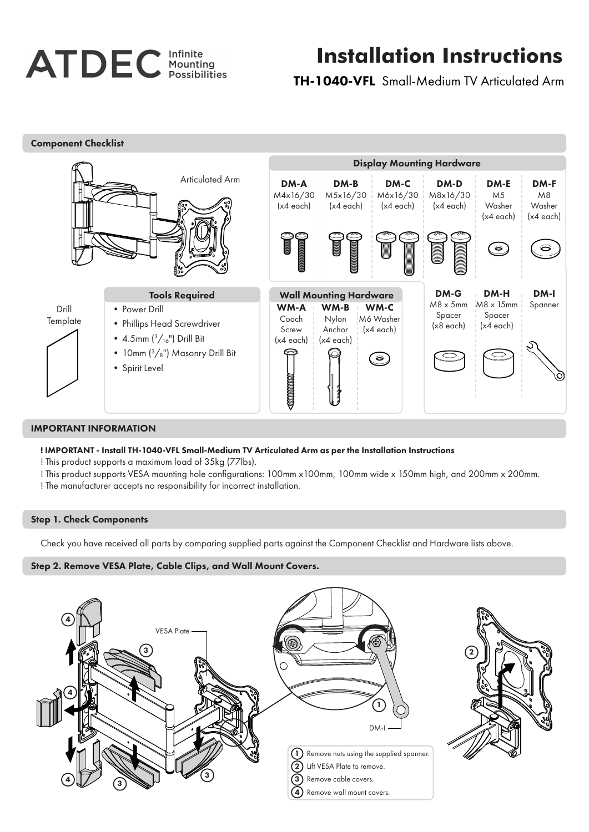# **ATDEC** Infinite

## **Installation Instructions**

TH-1040-VFL Small-Medium TV Articulated Arm



#### IMPORTANT INFORMATION

#### ! IMPORTANT - Install TH-1040-VFL Small-Medium TV Articulated Arm as per the Installation Instructions

- ! This product supports a maximum load of 35kg (77lbs).
- ! This product supports VESA mounting hole configurations: 100mm x100mm, 100mm wide x 150mm high, and 200mm x 200mm. ! The manufacturer accepts no responsibility for incorrect installation.
- 

### Step 1. Check Components

Check you have received all parts by comparing supplied parts against the Component Checklist and Hardware lists above.

#### Step 2. Remove VESA Plate, Cable Clips, and Wall Mount Covers.